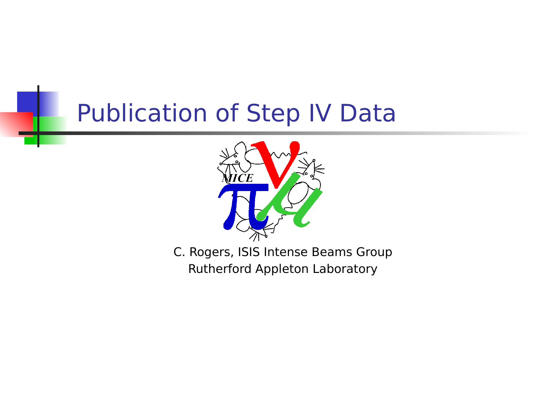## Publication of Step IV Data



C. Rogers, ISIS Intense Beams Group Rutherford Appleton Laboratory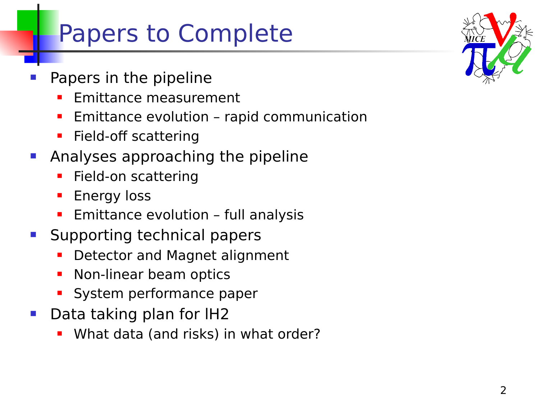## Papers to Complete

- Papers in the pipeline
	- Emittance measurement
	- **Emittance evolution rapid communication**
	- Field-off scattering
- **Analyses approaching the pipeline** 
	- **Field-on scattering**
	- **Energy loss**
	- Emittance evolution full analysis
- **Supporting technical papers** 
	- Detector and Magnet alignment
	- Non-linear beam optics
	- System performance paper
- Data taking plan for IH2
	- What data (and risks) in what order?

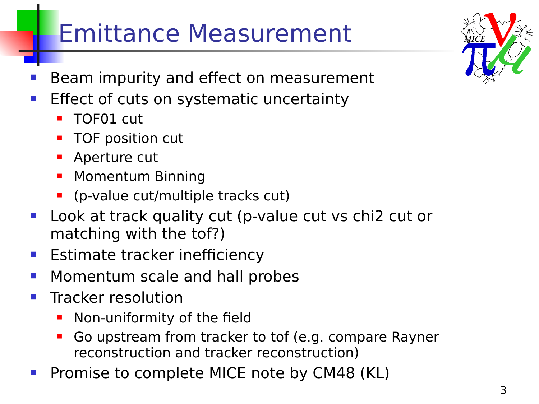## Emittance Measurement

- Beam impurity and effect on measurement
- **Effect of cuts on systematic uncertainty** 
	- TOF01 cut
	- TOF position cut
	- Aperture cut
	- Momentum Binning
	- (p-value cut/multiple tracks cut)
- **Look at track quality cut (p-value cut vs chi2 cut or** matching with the tof?)
- **Estimate tracker inefficiency**
- **Nomentum scale and hall probes**
- $\blacksquare$  Tracker resolution
	- Non-uniformity of the field
	- Go upstream from tracker to tof (e.g. compare Rayner reconstruction and tracker reconstruction)
- Promise to complete MICE note by CM48 (KL)



3

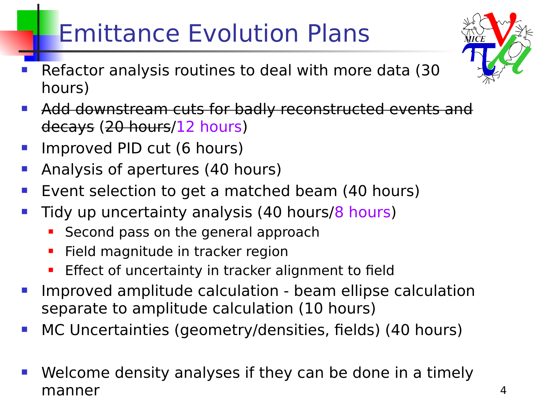# Emittance Evolution Plans

- Refactor analysis routines to deal with more data (30 hours)
- **Add downstream cuts for badly reconstructed events and** decays (20 hours/12 hours)
- Improved PID cut (6 hours)
- Analysis of apertures (40 hours)
- Event selection to get a matched beam (40 hours)
- Tidy up uncertainty analysis (40 hours/8 hours)
	- Second pass on the general approach
	- **Field magnitude in tracker region**
	- Effect of uncertainty in tracker alignment to field
- Improved amplitude calculation beam ellipse calculation separate to amplitude calculation (10 hours)
- MC Uncertainties (geometry/densities, fields) (40 hours)
- Welcome density analyses if they can be done in a timely manner

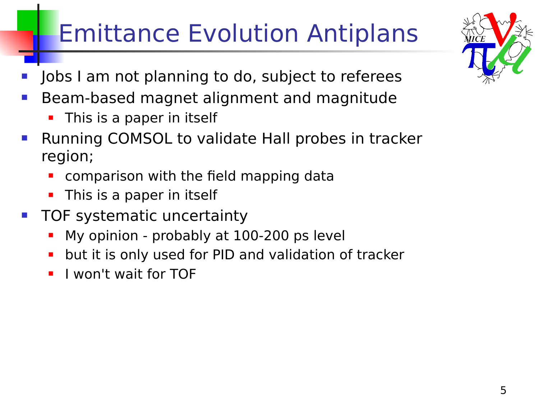# Emittance Evolution Antiplans

- Jobs I am not planning to do, subject to referees
- Beam-based magnet alignment and magnitude
	- This is a paper in itself
- Running COMSOL to validate Hall probes in tracker region;
	- comparison with the field mapping data
	- **This is a paper in itself**
- TOF systematic uncertainty
	- **My opinion probably at 100-200 ps level**
	- but it is only used for PID and validation of tracker
	- I won't wait for TOF

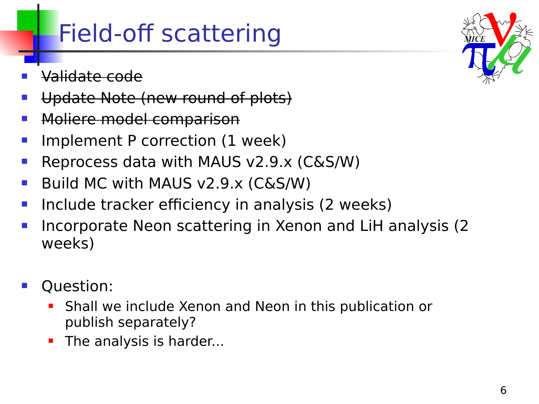### Field-off scattering

- Validate code
- Update Note (new round of plots)
- Moliere model comparison
- Implement P correction (1 week)
- Reprocess data with MAUS v2.9.x (C&S/W)
- Build MC with MAUS v2.9.x (C&S/W)
- Include tracker efficiency in analysis (2 weeks)
- Incorporate Neon scattering in Xenon and LiH analysis (2 weeks)
- Question:
	- Shall we include Xenon and Neon in this publication or publish separately?
	- The analysis is harder...